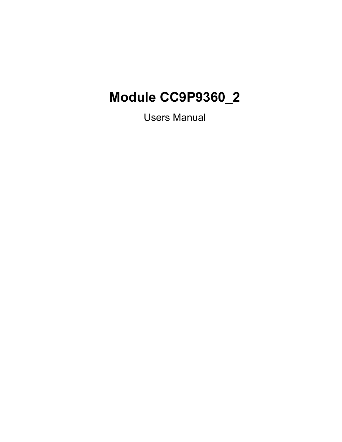# **Module CC9P9360\_2**

Users Manual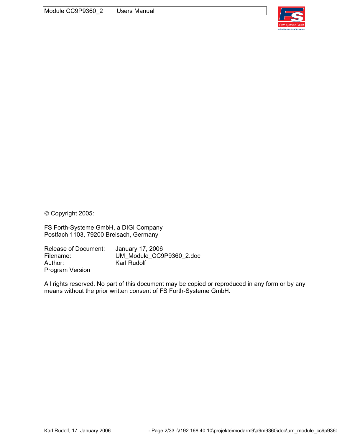

Copyright 2005:

FS Forth-Systeme GmbH, a DIGI Company Postfach 1103, 79200 Breisach, Germany

Release of Document: January 17, 2006 Filename: UM\_Module\_CC9P9360\_2.doc Author: Karl Rudolf Program Version

All rights reserved. No part of this document may be copied or reproduced in any form or by any means without the prior written consent of FS Forth-Systeme GmbH.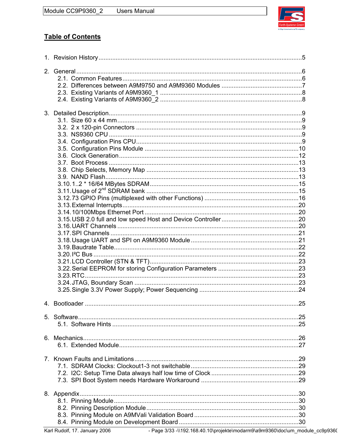

# **Table of Contents**

| 4 Bootloader | .25 |
|--------------|-----|
|              |     |
|              |     |
|              |     |
|              |     |
|              |     |
|              |     |
|              |     |
|              |     |
|              |     |
|              |     |
|              |     |
|              |     |
|              |     |
|              |     |

- Page 3/33 -\\192.168.40.10\projekte\modarm9\a9m9360\doc\um\_module\_cc9p936(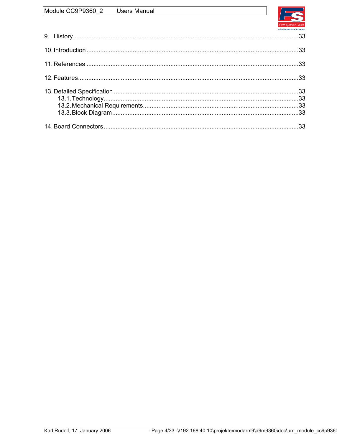#### Module CC9P9360\_2 **Users Manual**

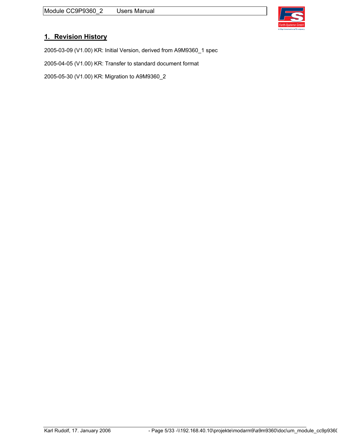Module CC9P9360\_2 Users Manual



# **1. Revision History**

2005-03-09 (V1.00) KR: Initial Version, derived from A9M9360\_1 spec

2005-04-05 (V1.00) KR: Transfer to standard document format

2005-05-30 (V1.00) KR: Migration to A9M9360\_2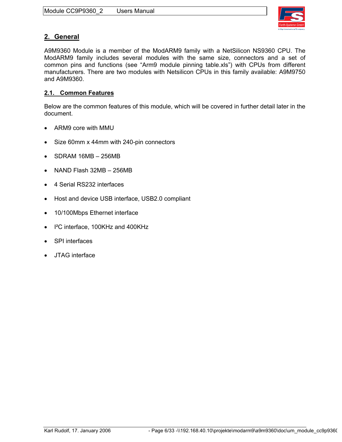

# **2. General**

A9M9360 Module is a member of the ModARM9 family with a NetSilicon NS9360 CPU. The ModARM9 family includes several modules with the same size, connectors and a set of common pins and functions (see "Arm9 module pinning table.xls") with CPUs from different manufacturers. There are two modules with Netsilicon CPUs in this family available: A9M9750 and A9M9360.

#### **2.1. Common Features**

Below are the common features of this module, which will be covered in further detail later in the document.

- ARM9 core with MMU
- Size 60mm x 44mm with 240-pin connectors
- SDRAM 16MB 256MB
- NAND Flash 32MB 256MB
- 4 Serial RS232 interfaces
- Host and device USB interface, USB2.0 compliant
- 10/100Mbps Ethernet interface
- I²C interface, 100KHz and 400KHz
- SPI interfaces
- JTAG interface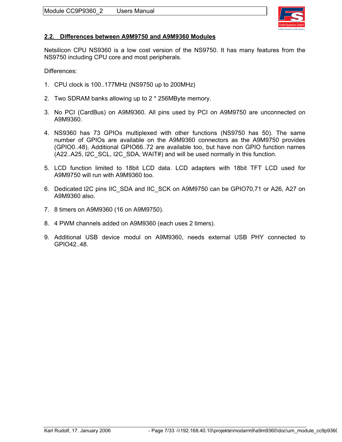

#### **2.2. Differences between A9M9750 and A9M9360 Modules**

Netsilicon CPU NS9360 is a low cost version of the NS9750. It has many features from the NS9750 including CPU core and most peripherals.

Differences:

- 1. CPU clock is 100..177MHz (NS9750 up to 200MHz)
- 2. Two SDRAM banks allowing up to 2 \* 256MByte memory.
- 3. No PCI (CardBus) on A9M9360. All pins used by PCI on A9M9750 are unconnected on A9M9360.
- 4. NS9360 has 73 GPIOs multiplexed with other functions (NS9750 has 50). The same number of GPIOs are available on the A9M9360 connectors as the A9M9750 provides (GPIO0..48). Additional GPIO66..72 are available too, but have non GPIO function names (A22..A25, I2C\_SCL, I2C\_SDA, WAIT#) and will be used normally in this function.
- 5. LCD function limited to 18bit LCD data. LCD adapters with 18bit TFT LCD used for A9M9750 will run with A9M9360 too.
- 6. Dedicated I2C pins IIC\_SDA and IIC\_SCK on A9M9750 can be GPIO70,71 or A26, A27 on A9M9360 also.
- 7. 8 timers on A9M9360 (16 on A9M9750).
- 8. 4 PWM channels added on A9M9360 (each uses 2 timers).
- 9. Additional USB device modul on A9M9360, needs external USB PHY connected to GPIO42..48.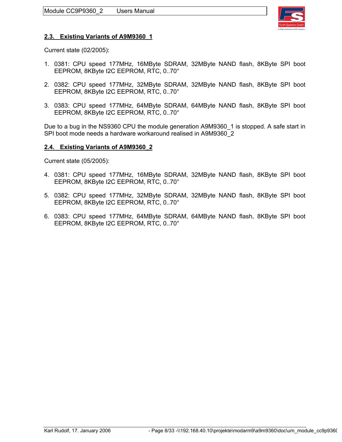

#### **2.3. Existing Variants of A9M9360\_1**

Current state (02/2005):

- 1. 0381: CPU speed 177MHz, 16MByte SDRAM, 32MByte NAND flash, 8KByte SPI boot EEPROM, 8KByte I2C EEPROM, RTC, 0..70°
- 2. 0382: CPU speed 177MHz, 32MByte SDRAM, 32MByte NAND flash, 8KByte SPI boot EEPROM, 8KByte I2C EEPROM, RTC, 0..70°
- 3. 0383: CPU speed 177MHz, 64MByte SDRAM, 64MByte NAND flash, 8KByte SPI boot EEPROM, 8KByte I2C EEPROM, RTC, 0..70°

Due to a bug in the NS9360 CPU the module generation A9M9360 1 is stopped. A safe start in SPI boot mode needs a hardware workaround realised in A9M9360\_2

#### **2.4. Existing Variants of A9M9360\_2**

Current state (05/2005):

- 4. 0381: CPU speed 177MHz, 16MByte SDRAM, 32MByte NAND flash, 8KByte SPI boot EEPROM, 8KByte I2C EEPROM, RTC, 0..70°
- 5. 0382: CPU speed 177MHz, 32MByte SDRAM, 32MByte NAND flash, 8KByte SPI boot EEPROM, 8KByte I2C EEPROM, RTC, 0..70°
- 6. 0383: CPU speed 177MHz, 64MByte SDRAM, 64MByte NAND flash, 8KByte SPI boot EEPROM, 8KByte I2C EEPROM, RTC, 0..70°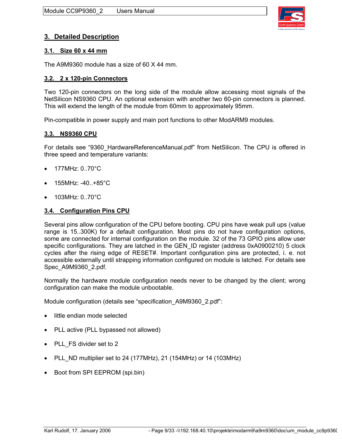

## **3. Detailed Description**

#### **3.1. Size 60 x 44 mm**

The A9M9360 module has a size of 60 X 44 mm.

#### **3.2. 2 x 120-pin Connectors**

Two 120-pin connectors on the long side of the module allow accessing most signals of the NetSilicon NS9360 CPU. An optional extension with another two 60-pin connectors is planned. This will extend the length of the module from 60mm to approximately 95mm.

Pin-compatible in power supply and main port functions to other ModARM9 modules.

#### **3.3. NS9360 CPU**

For details see "9360 HardwareReferenceManual.pdf" from NetSilicon. The CPU is offered in three speed and temperature variants:

- 177MHz: 0..70°C
- 155MHz: -40..+85°C
- 103MHz: 0..70°C

#### **3.4. Configuration Pins CPU**

Several pins allow configuration of the CPU before booting. CPU pins have weak pull ups (value range is 15..300K) for a default configuration. Most pins do not have configuration options, some are connected for internal configuration on the module. 32 of the 73 GPIO pins allow user specific configurations. They are latched in the GEN ID register (address 0xA0900210) 5 clock cycles after the rising edge of RESET#. Important configuration pins are protected, i. e. not accessible externally until strapping information configured on module is latched. For details see Spec\_A9M9360\_2.pdf.

Normally the hardware module configuration needs never to be changed by the client; wrong configuration can make the module unbootable.

Module configuration (details see "specification A9M9360 2.pdf":

- little endian mode selected
- PLL active (PLL bypassed not allowed)
- PLL FS divider set to 2
- PLL\_ND multiplier set to 24 (177MHz), 21 (154MHz) or 14 (103MHz)
- Boot from SPI EEPROM (spi.bin)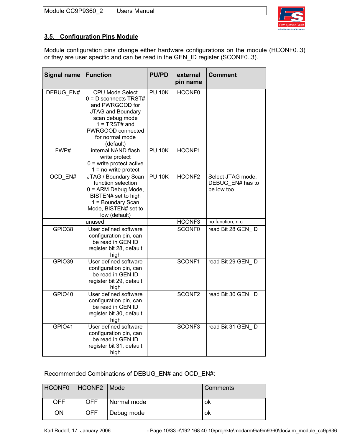

# **3.5. Configuration Pins Module**

Module configuration pins change either hardware configurations on the module (HCONF0..3) or they are user specific and can be read in the GEN\_ID register (SCONF0..3).

| <b>Signal name</b> | <b>Function</b>                                                                                                                                                                           | <b>PU/PD</b>  | external<br>pin name | <b>Comment</b>                                      |
|--------------------|-------------------------------------------------------------------------------------------------------------------------------------------------------------------------------------------|---------------|----------------------|-----------------------------------------------------|
| DEBUG_EN#          | <b>CPU Mode Select</b><br>0 = Disconnects TRST#<br>and PWRGOOD for<br><b>JTAG and Boundary</b><br>scan debug mode<br>$1 = TRST#$ and<br>PWRGOOD connected<br>for normal mode<br>(default) | <b>PU 10K</b> | <b>HCONF0</b>        |                                                     |
| FWP#               | internal NAND flash<br>write protect<br>$0 =$ write protect active<br>$1 = no$ write protect                                                                                              | <b>PU 10K</b> | HCONF1               |                                                     |
| OCD_EN#            | JTAG / Boundary Scan<br>function selection<br>$0 = ARM$ Debug Mode,<br>BISTEN# set to high<br>1 = Boundary Scan<br>Mode, BISTEN# set to<br>low (default)                                  | <b>PU 10K</b> | <b>HCONF2</b>        | Select JTAG mode,<br>DEBUG_EN# has to<br>be low too |
|                    | unused                                                                                                                                                                                    |               | HCONF3               | no function, n.c.                                   |
| <b>GPIO38</b>      | User defined software<br>configuration pin, can<br>be read in GEN ID<br>register bit 28, default<br>high                                                                                  |               | <b>SCONF0</b>        | read Bit 28 GEN ID                                  |
| GPIO39             | User defined software<br>configuration pin, can<br>be read in GEN ID<br>register bit 29, default<br>high                                                                                  |               | SCONF1               | read Bit 29 GEN ID                                  |
| <b>GPIO40</b>      | User defined software<br>configuration pin, can<br>be read in GEN ID<br>register bit 30, default<br>high                                                                                  |               | SCONF <sub>2</sub>   | read Bit 30 GEN_ID                                  |
| <b>GPIO41</b>      | User defined software<br>configuration pin, can<br>be read in GEN ID<br>register bit 31, default<br>high                                                                                  |               | SCONF <sub>3</sub>   | read Bit 31 GEN_ID                                  |

### Recommended Combinations of DEBUG\_EN# and OCD\_EN#:

| HCONF0   HCONF2   Mode |            |             | Comments |
|------------------------|------------|-------------|----------|
| <b>OFF</b>             | OFF.       | Normal mode | οĸ       |
| ΟN                     | <b>OFF</b> | Debug mode  | оĸ       |

Karl Rudolf, 17. January 2006 - Page 10/33 -\\192.168.40.10\projekte\modarm9\a9m9360\doc\um\_module\_cc9p936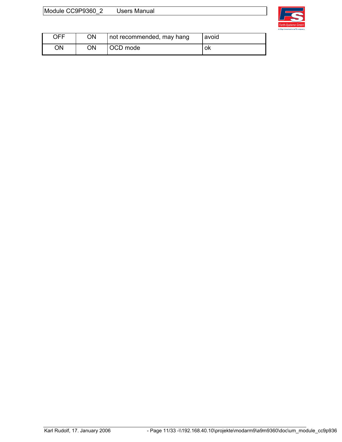| Module CC9P9360 2 | <b>Users Manual</b> |
|-------------------|---------------------|
|-------------------|---------------------|



| OFF | ОN | not recommended, may hang | avoid |
|-----|----|---------------------------|-------|
| ΟN  | ОN | OCD mode                  | οĸ    |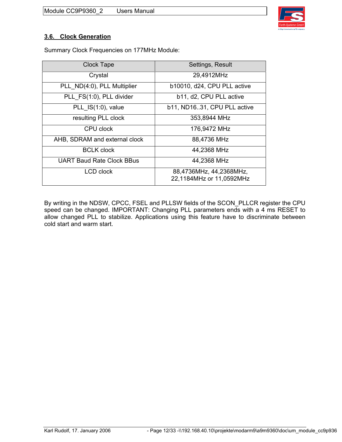Module CC9P9360\_2 Users Manual



### **3.6. Clock Generation**

Summary Clock Frequencies on 177MHz Module:

| <b>Clock Tape</b>                | Settings, Result            |
|----------------------------------|-----------------------------|
| Crystal                          | 29,4912MHz                  |
| PLL_ND(4:0), PLL Multiplier      | b10010, d24, CPU PLL active |
| PLL FS(1:0), PLL divider         | b11, d2, CPU PLL active     |
| PLL IS(1:0), value               | b11, ND1631, CPU PLL active |
| resulting PLL clock              | 353,8944 MHz                |
| CPU clock                        | 176,9472 MHz                |
| AHB, SDRAM and external clock    | 88,4736 MHz                 |
| <b>BCLK</b> clock                | 44,2368 MHz                 |
| <b>UART Baud Rate Clock BBus</b> | 44,2368 MHz                 |
| LCD clock                        | 88,4736MHz, 44,2368MHz,     |
|                                  | 22,1184MHz or 11,0592MHz    |

By writing in the NDSW, CPCC, FSEL and PLLSW fields of the SCON\_PLLCR register the CPU speed can be changed. IMPORTANT: Changing PLL parameters ends with a 4 ms RESET to allow changed PLL to stabilize. Applications using this feature have to discriminate between cold start and warm start.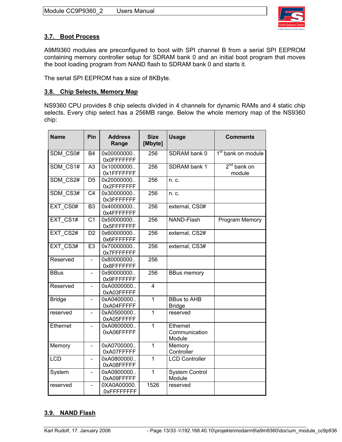

# **3.7. Boot Process**

A9M9360 modules are preconfigured to boot with SPI channel B from a serial SPI EEPROM containing memory controller setup for SDRAM bank 0 and an initial boot program that moves the boot loading program from NAND flash to SDRAM bank 0 and starts it.

The serial SPI EEPROM has a size of 8KByte.

#### **3.8. Chip Selects, Memory Map**

NS9360 CPU provides 8 chip selects divided in 4 channels for dynamic RAMs and 4 static chip selects. Every chip select has a 256MB range. Below the whole memory map of the NS9360 chip:

| <b>Name</b>   | Pin<br><b>Size</b><br><b>Address</b><br>[Mbyte]<br>Range |                             | <b>Usage</b>   | <b>Comments</b>                     |                                |
|---------------|----------------------------------------------------------|-----------------------------|----------------|-------------------------------------|--------------------------------|
| SDM_CS0#      | <b>B4</b>                                                | 0x00000000<br>0x0FFFFFFF    | 256            | SDRAM bank 0                        | 1 <sup>st</sup> bank on module |
| SDM CS1#      | A <sub>3</sub>                                           | 0x10000000<br>0x1FFFFFFF    | 256            | SDRAM bank 1                        | $2nd$ bank on<br>module        |
| SDM CS2#      | D <sub>5</sub>                                           | 0x20000000<br>0x2FFFFFFFF   | 256            | n. c.                               |                                |
| SDM CS3#      | C <sub>4</sub>                                           | 0x30000000<br>0x3FFFFFFFF   | 256            | n. c.                               |                                |
| EXT CS0#      | B <sub>3</sub>                                           | 0x40000000<br>0x4FFFFFFFF   | 256            | external, CS0#                      |                                |
| EXT CS1#      | C <sub>1</sub>                                           | 0x50000000<br>0x5FFFFFFF    | 256            | NAND-Flash                          | Program Memory                 |
| EXT CS2#      | D <sub>2</sub>                                           | 0x60000000<br>0x6FFFFFFF    | 256            | external, CS2#                      |                                |
| EXT CS3#      | E3                                                       | 0x70000000<br>0x7FFFFFFFF   | 256            | external, CS3#                      |                                |
| Reserved      | $\blacksquare$                                           | 0x80000000<br>0x8FFFFFFF    | 256            |                                     |                                |
| <b>BBus</b>   | $\blacksquare$                                           | 0x90000000<br>0x9FFFFFFF    | 256            | <b>BBus memory</b>                  |                                |
| Reserved      | $\frac{1}{2}$                                            | 0xA0000000<br>0xA03FFFFF    | $\overline{4}$ |                                     |                                |
| <b>Bridge</b> | $\overline{a}$                                           | 0xA0400000<br>0xA04FFFFF    | $\mathbf{1}$   | <b>BBus to AHB</b><br><b>Bridge</b> |                                |
| reserved      | $\blacksquare$                                           | 0xA0500000<br>0xA05FFFFF    | $\mathbf{1}$   | reserved                            |                                |
| Ethernet      | $\overline{\phantom{0}}$                                 | 0xA0600000<br>0xA06FFFFF    | $\mathbf{1}$   | Ethernet<br>Communication<br>Module |                                |
| Memory        |                                                          | 0xA0700000<br>0xA07FFFFF    | $\mathbf{1}$   | Memory<br>Controller                |                                |
| <b>LCD</b>    | $\blacksquare$                                           | 0xA0800000<br>0xA08FFFFF    | 1              | <b>LCD Controller</b>               |                                |
| System        | $\overline{\phantom{a}}$                                 | 0xA0900000<br>0xA09FFFFF    | 1              | <b>System Control</b><br>Module     |                                |
| reserved      | $\frac{1}{2}$                                            | 0XA0A00000.<br>.0xFFFFFFFFF | 1526           | reserved                            |                                |

#### **3.9. NAND Flash**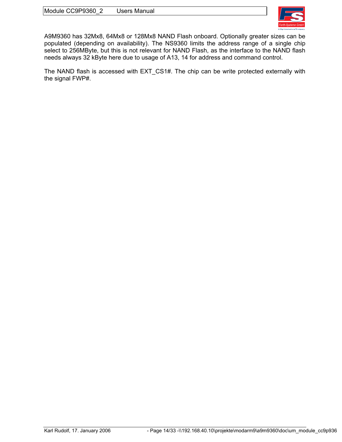

A9M9360 has 32Mx8, 64Mx8 or 128Mx8 NAND Flash onboard. Optionally greater sizes can be populated (depending on availability). The NS9360 limits the address range of a single chip select to 256MByte, but this is not relevant for NAND Flash, as the interface to the NAND flash needs always 32 kByte here due to usage of A13, 14 for address and command control.

The NAND flash is accessed with EXT\_CS1#. The chip can be write protected externally with the signal FWP#.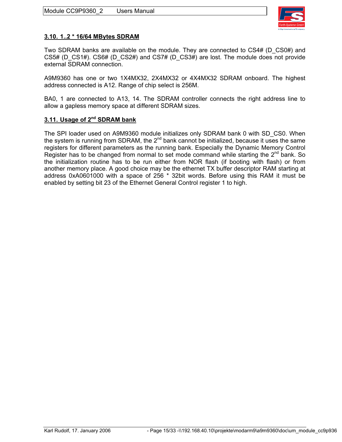

#### **3.10. 1..2 \* 16/64 MBytes SDRAM**

Two SDRAM banks are available on the module. They are connected to CS4# (D\_CS0#) and CS5# (D\_CS1#). CS6# (D\_CS2#) and CS7# (D\_CS3#) are lost. The module does not provide external SDRAM connection.

A9M9360 has one or two 1X4MX32, 2X4MX32 or 4X4MX32 SDRAM onboard. The highest address connected is A12. Range of chip select is 256M.

BA0, 1 are connected to A13, 14. The SDRAM controller connects the right address line to allow a gapless memory space at different SDRAM sizes.

#### **3.11. Usage of 2nd SDRAM bank**

The SPI loader used on A9M9360 module initializes only SDRAM bank 0 with SD\_CS0. When the system is running from SDRAM, the  $2^{nd}$  bank cannot be initialized, because it uses the same registers for different parameters as the running bank. Especially the Dynamic Memory Control Register has to be changed from normal to set mode command while starting the  $2^{nd}$  bank. So the initialization routine has to be run either from NOR flash (if booting with flash) or from another memory place. A good choice may be the ethernet TX buffer descriptor RAM starting at address 0xA0601000 with a space of 256 \* 32bit words. Before using this RAM it must be enabled by setting bit 23 of the Ethernet General Control register 1 to high.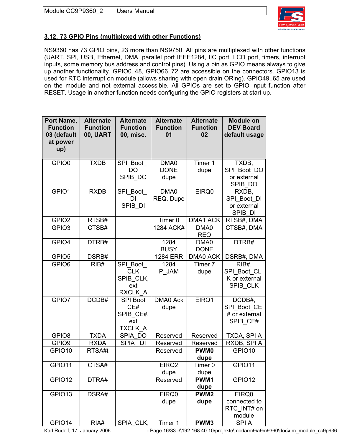

#### **3.12. 73 GPIO Pins (multiplexed with other Functions)**

NS9360 has 73 GPIO pins, 23 more than NS9750. All pins are multiplexed with other functions (UART, SPI, USB, Ethernet, DMA, parallel port IEEE1284, IIC port, LCD port, timers, interrupt inputs, some memory bus address and control pins). Using a pin as GPIO means always to give up another functionality. GPIO0..48, GPIO66..72 are accessible on the connectors. GPIO13 is used for RTC interrupt on module (allows sharing with open drain ORing). GPIO49..65 are used on the module and not external accessible. All GPIOs are set to GPIO input function after RESET. Usage in another function needs configuring the GPIO registers at start up.

| Port Name,<br><b>Function</b><br>03 (default<br>at power<br>up) | <b>Alternate</b><br><b>Function</b><br><b>00, UART</b> | <b>Alternate</b><br><b>Function</b><br>00, misc.      | <b>Alternate</b><br><b>Function</b><br>01 | <b>Alternate</b><br><b>Function</b><br>02 | <b>Module on</b><br><b>DEV Board</b><br>default usage |
|-----------------------------------------------------------------|--------------------------------------------------------|-------------------------------------------------------|-------------------------------------------|-------------------------------------------|-------------------------------------------------------|
| GPIO0                                                           | <b>TXDB</b>                                            | SPI Boot<br><b>DO</b><br>SPIB DO                      | DMA0<br><b>DONE</b><br>dupe               | Timer 1<br>dupe                           | TXDB,<br>SPI Boot_DO<br>or external<br>SPIB DO        |
| GPIO1                                                           | <b>RXDB</b>                                            | SPI Boot<br>DI<br>SPIB DI                             | DMA0<br>REQ. Dupe                         | EIRQ0                                     | RXDB,<br>SPI Boot_DI<br>or external<br>SPIB DI        |
| GPIO <sub>2</sub>                                               | RTSB#                                                  |                                                       | Timer 0                                   | DMA1 ACK                                  | RTSB#, DMA                                            |
| GPIO <sub>3</sub>                                               | CTSB#                                                  |                                                       | 1284 ACK#                                 | DMA0<br><b>REQ</b>                        | CTSB#, DMA                                            |
| GPIO4                                                           | DTRB#                                                  |                                                       | 1284<br><b>BUSY</b>                       | DMA0<br><b>DONE</b>                       | DTRB#                                                 |
| GPIO <sub>5</sub>                                               | DSRB#                                                  |                                                       | <b>1284 ERR</b>                           | DMA0 ACK                                  | DSRB#, DMA                                            |
| GPIO <sub>6</sub>                                               | RIB#                                                   | SPI Boot<br><b>CLK</b><br>SPIB_CLK,<br>ext<br>RXCLK A | 1284<br>P JAM                             | Timer 7<br>dupe                           | RIB#,<br>SPI Boot CL<br>K or external<br>SPIB CLK     |
| GPIO7                                                           | DCDB#                                                  | <b>SPI Boot</b><br>CE#<br>SPIB_CE#,<br>ext<br>TXCLK A | <b>DMA0 Ack</b><br>dupe                   | EIRQ1                                     | DCDB#,<br>SPI Boot CE<br># or external<br>SPIB CE#    |
| GPIO8                                                           | <b>TXDA</b>                                            | SPIA DO                                               | Reserved                                  | Reserved                                  | TXDA, SPI A                                           |
| GPIO9                                                           | <b>RXDA</b>                                            | SPIA DI                                               | Reserved                                  | Reserved                                  | RXDB, SPI A                                           |
| GPIO <sub>10</sub>                                              | RTSA#t                                                 |                                                       | Reserved                                  | <b>PWM0</b><br>dupe                       | GPIO10                                                |
| GPIO11                                                          | CTSA#                                                  |                                                       | EIRQ <sub>2</sub><br>dupe                 | Timer <sub>0</sub><br>dupe                | GPIO11                                                |
| GPIO12                                                          | DTRA#                                                  |                                                       | Reserved                                  | PWM1<br>dupe                              | GPIO12                                                |
| GPIO13                                                          | DSRA#                                                  |                                                       | EIRQ0                                     | PWM <sub>2</sub>                          | EIRQ0                                                 |
|                                                                 |                                                        |                                                       | dupe                                      | dupe                                      | connected to<br>RTC INT# on                           |
| GPIO14                                                          | RIA#                                                   | SPIA CLK,                                             | Timer 1                                   | PWM3                                      | module<br><b>SPIA</b>                                 |

Karl Rudolf, 17. January 2006 - Page 16/33 -\\192.168.40.10\projekte\modarm9\a9m9360\doc\um\_module\_cc9p936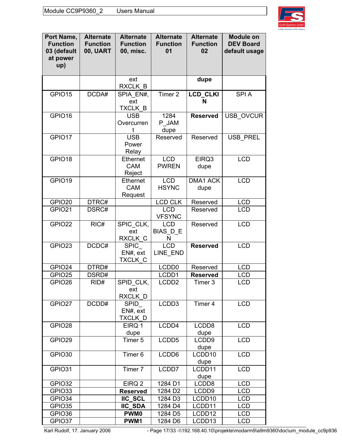

| Port Name,<br><b>Function</b><br>03 (default<br>at power<br>up) | <b>Alternate</b><br><b>Function</b><br><b>00, UART</b> | <b>Alternate</b><br><b>Function</b><br>00, misc. | <b>Alternate</b><br><b>Function</b><br>01 | <b>Alternate</b><br><b>Function</b><br>02 | <b>Module on</b><br><b>DEV Board</b><br>default usage |
|-----------------------------------------------------------------|--------------------------------------------------------|--------------------------------------------------|-------------------------------------------|-------------------------------------------|-------------------------------------------------------|
|                                                                 |                                                        | ext                                              |                                           | dupe                                      |                                                       |
|                                                                 |                                                        | RXCLK B                                          |                                           |                                           |                                                       |
| GPIO15                                                          | DCDA#                                                  | SPIA EN#,<br>ext<br>TXCLK B                      | Timer 2                                   | <b>LCD_CLKI</b><br>N                      | <b>SPIA</b>                                           |
| GPIO16                                                          |                                                        | <b>USB</b><br>Overcurren<br>t                    | 1284<br>P JAM<br>dupe                     | <b>Reserved</b>                           | <b>USB OVCUR</b>                                      |
| GPIO17                                                          |                                                        | <b>USB</b><br>Power<br>Relay                     | Reserved                                  | Reserved                                  | <b>USB PREL</b>                                       |
| GPIO18                                                          |                                                        | Ethernet<br><b>CAM</b><br>Reject                 | <b>LCD</b><br><b>PWREN</b>                | EIRQ3<br>dupe                             | <b>LCD</b>                                            |
| GPIO19                                                          |                                                        | Ethernet<br><b>CAM</b><br>Request                | <b>LCD</b><br><b>HSYNC</b>                | <b>DMA1 ACK</b><br>dupe                   | <b>LCD</b>                                            |
| GPIO20                                                          | DTRC#                                                  |                                                  | LCD CLK                                   | Reserved                                  | <b>LCD</b>                                            |
| GPIO21                                                          | DSRC#                                                  |                                                  | <b>LCD</b><br><b>VFSYNC</b>               | Reserved                                  | <b>LCD</b>                                            |
| GPIO22                                                          | RIC#                                                   | SPIC CLK,<br>ext<br>RXCLK C                      | <b>LCD</b><br><b>BIAS D_E</b><br>N        | Reserved                                  | <b>LCD</b>                                            |
| GPIO23                                                          | DCDC#                                                  | $SPIC_$<br>EN#, ext<br>TXCLK C                   | <b>LCD</b><br>LINE END                    | <b>Reserved</b>                           | <b>LCD</b>                                            |
| GPIO24                                                          | DTRD#                                                  |                                                  | LCDD <sub>0</sub>                         | Reserved                                  | <b>LCD</b>                                            |
| GPIO25                                                          | DSRD#                                                  |                                                  | LCDD1                                     | <b>Reserved</b>                           | <b>LCD</b>                                            |
| GPIO26                                                          | RID#                                                   | SPID_CLK,<br>ext<br>RXCLK D                      | LCDD <sub>2</sub>                         | Timer 3                                   | <b>LCD</b>                                            |
| GPIO27                                                          | DCDD#                                                  | SPID<br>EN#, ext<br>TXCLK_D                      | LCDD3                                     | Timer 4                                   | <b>LCD</b>                                            |
| GPIO28                                                          |                                                        | EIRQ 1<br>dupe                                   | LCDD4                                     | LCDD8<br>dupe                             | <b>LCD</b>                                            |
| GPIO29                                                          |                                                        | Timer 5                                          | LCDD <sub>5</sub>                         | LCDD9<br>dupe                             | <b>LCD</b>                                            |
| GPIO30                                                          |                                                        | Timer <sub>6</sub>                               | LCDD6                                     | LCDD10<br>dupe                            | <b>LCD</b>                                            |
| GPIO31                                                          |                                                        | Timer 7                                          | LCDD7                                     | LCDD11<br>dupe                            | <b>LCD</b>                                            |
| GPIO32                                                          |                                                        | EIRQ <sub>2</sub>                                | 1284 D1                                   | LCDD8                                     | <b>LCD</b>                                            |
| GPIO33                                                          |                                                        | <b>Reserved</b>                                  | 1284 D <sub>2</sub>                       | LCDD9                                     | <b>LCD</b>                                            |
| GPIO34                                                          |                                                        | <b>IIC_SCL</b>                                   | 1284 D3                                   | LCDD10                                    | <b>LCD</b>                                            |
| GPIO35                                                          |                                                        | <b>IIC_SDA</b>                                   | 1284 D4                                   | LCDD11                                    | <b>LCD</b>                                            |
| GPIO36                                                          |                                                        | <b>PWM0</b>                                      | 1284 D5                                   | LCDD12                                    | <b>LCD</b>                                            |
| GPIO37                                                          |                                                        | PWM1                                             | 1284 D6                                   | LCDD13                                    | <b>LCD</b>                                            |

Karl Rudolf, 17. January 2006 - Page 17/33 -\\192.168.40.10\projekte\modarm9\a9m9360\doc\um\_module\_cc9p936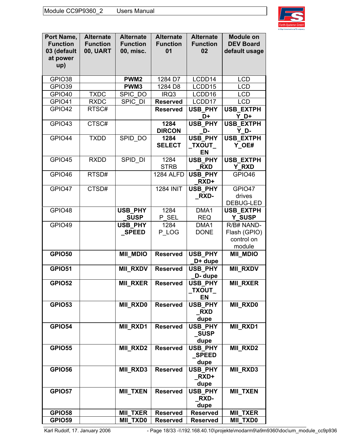

| Port Name,<br><b>Function</b><br>03 (default<br>at power<br>up) | <b>Alternate</b><br><b>Function</b><br>00, UART | <b>Alternate</b><br><b>Function</b><br>00, misc. | <b>Alternate</b><br><b>Function</b><br>01 | <b>Alternate</b><br><b>Function</b><br>02 | <b>Module on</b><br><b>DEV Board</b><br>default usage |
|-----------------------------------------------------------------|-------------------------------------------------|--------------------------------------------------|-------------------------------------------|-------------------------------------------|-------------------------------------------------------|
| GPIO38                                                          |                                                 | PWM <sub>2</sub>                                 | 1284 D7                                   | LCDD14                                    | <b>LCD</b>                                            |
| GPIO39                                                          |                                                 | PWM3                                             | 1284 D8                                   | LCDD15                                    | <b>LCD</b>                                            |
| GPIO40                                                          | <b>TXDC</b>                                     | SPIC DO                                          | IRQ3                                      | LCDD16                                    | <b>LCD</b>                                            |
| GPIO41                                                          | <b>RXDC</b>                                     | SPIC DI                                          | <b>Reserved</b>                           | LCDD17                                    | <b>LCD</b>                                            |
| GPIO42                                                          | RTSC#                                           |                                                  | <b>Reserved</b>                           | <b>USB PHY</b>                            | <b>USB EXTPH</b>                                      |
|                                                                 |                                                 |                                                  |                                           | D+                                        | Y D+                                                  |
| GPIO43                                                          | CTSC#                                           |                                                  | 1284                                      | <b>USB PHY</b>                            | <b>USB EXTPH</b>                                      |
|                                                                 |                                                 |                                                  | <b>DIRCON</b>                             | D-                                        | Y D-                                                  |
| GPIO44                                                          | <b>TXDD</b>                                     | SPID DO                                          | 1284                                      | <b>USB PHY</b>                            | <b>USB EXTPH</b>                                      |
|                                                                 |                                                 |                                                  | <b>SELECT</b>                             | <b>TXOUT</b><br><b>EN</b>                 | Y OE#                                                 |
| GPIO45                                                          | <b>RXDD</b>                                     | SPID DI                                          | 1284                                      | <b>USB PHY</b>                            | <b>USB EXTPH</b>                                      |
|                                                                 |                                                 |                                                  | <b>STRB</b>                               | <b>RXD</b>                                | Y RXD                                                 |
| GPIO46                                                          | RTSD#                                           |                                                  | <b>1284 ALFD</b>                          | USB_PHY<br>RXD+                           | GPIO46                                                |
| GPIO47                                                          | CTSD#                                           |                                                  | <b>1284 INIT</b>                          | USB_PHY                                   | GPIO47                                                |
|                                                                 |                                                 |                                                  |                                           | <b>RXD-</b>                               | drives                                                |
|                                                                 |                                                 |                                                  |                                           |                                           | DEBUG-LED                                             |
| GPIO48                                                          |                                                 | USB_PHY                                          | 1284                                      | DMA1                                      | <b>USB EXTPH</b>                                      |
|                                                                 |                                                 | <b>SUSP</b>                                      | P SEL                                     | <b>REQ</b>                                | Y SUSP                                                |
| GPIO49                                                          |                                                 | USB_PHY                                          | 1284                                      | DMA1                                      | R/B# NAND-                                            |
|                                                                 |                                                 | <b>SPEED</b>                                     | P LOG                                     | <b>DONE</b>                               | Flash (GPIO)<br>control on<br>module                  |
| <b>GPIO50</b>                                                   |                                                 | <b>MIL MDIO</b>                                  | <b>Reserved</b>                           | <b>USB PHY</b><br>D+ dupe                 | <b>MII MDIO</b>                                       |
| <b>GPIO51</b>                                                   |                                                 | <b>MIL RXDV</b>                                  | <b>Reserved</b>                           | USB_PHY<br>D-dupe                         | <b>MIL RXDV</b>                                       |
| <b>GPIO52</b>                                                   |                                                 | <b>MII_RXER</b>                                  | <b>Reserved</b>                           | USB_PHY<br><b>TXOUT</b><br><b>EN</b>      | <b>MII_RXER</b>                                       |
| <b>GPIO53</b>                                                   |                                                 | <b>MIL RXD0</b>                                  | <b>Reserved</b>                           | USB_PHY<br><b>RXD</b><br>dupe             | MII_RXD0                                              |
| <b>GPIO54</b>                                                   |                                                 | MII_RXD1                                         | <b>Reserved</b>                           | USB_PHY<br><b>SUSP</b><br>dupe            | MII_RXD1                                              |
| <b>GPIO55</b>                                                   |                                                 | MII RXD2                                         | <b>Reserved</b>                           | USB_PHY<br><b>SPEED</b><br>dupe           | MII_RXD2                                              |
| <b>GPIO56</b>                                                   |                                                 | <b>MIL RXD3</b>                                  | <b>Reserved</b>                           | USB_PHY<br><b>RXD+</b><br>dupe            | MII_RXD3                                              |
| <b>GPIO57</b>                                                   |                                                 | <b>MII_TXEN</b>                                  | <b>Reserved</b>                           | USB_PHY<br><b>RXD-</b><br>dupe            | <b>MII_TXEN</b>                                       |
| <b>GPIO58</b>                                                   |                                                 | <b>MII TXER</b>                                  | <b>Reserved</b>                           | <b>Reserved</b>                           | <b>MII TXER</b>                                       |
| <b>GPIO59</b>                                                   |                                                 | <b>MII TXD0</b>                                  | <b>Reserved</b>                           | <b>Reserved</b>                           | <b>MII_TXD0</b>                                       |

Karl Rudolf, 17. January 2006 - Page 18/33 -\\192.168.40.10\projekte\modarm9\a9m9360\doc\um\_module\_cc9p936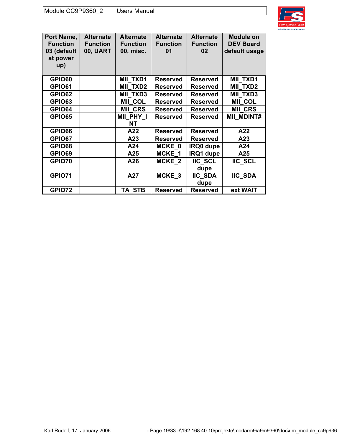

| Port Name,<br><b>Function</b><br>03 (default<br>at power<br>up) | <b>Alternate</b><br><b>Function</b><br><b>00, UART</b> | <b>Alternate</b><br><b>Function</b><br>00, misc. | <b>Alternate</b><br><b>Function</b><br>01 | <b>Alternate</b><br><b>Function</b><br>02 | <b>Module on</b><br><b>DEV Board</b><br>default usage |
|-----------------------------------------------------------------|--------------------------------------------------------|--------------------------------------------------|-------------------------------------------|-------------------------------------------|-------------------------------------------------------|
| <b>GPIO60</b>                                                   |                                                        | <b>MII TXD1</b>                                  | <b>Reserved</b>                           | <b>Reserved</b>                           | <b>MII TXD1</b>                                       |
| <b>GPIO61</b>                                                   |                                                        | MII TXD2                                         | <b>Reserved</b>                           | <b>Reserved</b>                           | <b>MII TXD2</b>                                       |
| <b>GPIO62</b>                                                   |                                                        | <b>MII TXD3</b>                                  | <b>Reserved</b>                           | <b>Reserved</b>                           | <b>MII TXD3</b>                                       |
| <b>GPIO63</b>                                                   |                                                        | <b>MII COL</b>                                   | <b>Reserved</b>                           | <b>Reserved</b>                           | <b>MII COL</b>                                        |
| <b>GPIO64</b>                                                   |                                                        | <b>MII CRS</b>                                   | <b>Reserved</b>                           | <b>Reserved</b>                           | <b>MII CRS</b>                                        |
| GPIO65                                                          |                                                        | <b>MII PHY I</b><br><b>NT</b>                    | <b>Reserved</b>                           | <b>Reserved</b>                           | <b>MII MDINT#</b>                                     |
| <b>GPIO66</b>                                                   |                                                        | A22                                              | <b>Reserved</b>                           | <b>Reserved</b>                           | A22                                                   |
| <b>GPIO67</b>                                                   |                                                        | A23                                              | <b>Reserved</b>                           | <b>Reserved</b>                           | A23                                                   |
| GPIO68                                                          |                                                        | A24                                              | MCKE 0                                    | IRQ0 dupe                                 | A24                                                   |
| GPIO69                                                          |                                                        | A25                                              | MCKE 1                                    | IRQ1 dupe                                 | A25                                                   |
| <b>GPIO70</b>                                                   |                                                        | A26                                              | MCKE <sub>2</sub>                         | <b>IIC_SCL</b>                            | <b>IIC_SCL</b>                                        |
|                                                                 |                                                        |                                                  |                                           | dupe                                      |                                                       |
| <b>GPIO71</b>                                                   |                                                        | A27                                              | MCKE_3                                    | <b>IIC SDA</b><br>dupe                    | <b>IIC_SDA</b>                                        |
| GPIO72                                                          |                                                        | TA STB                                           | <b>Reserved</b>                           | <b>Reserved</b>                           | ext WAIT                                              |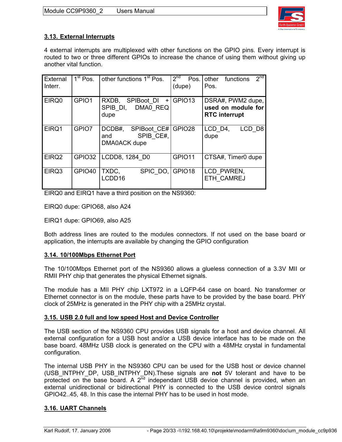

# **3.13. External Interrupts**

4 external interrupts are multiplexed with other functions on the GPIO pins. Every interrupt is routed to two or three different GPIOs to increase the chance of using them without giving up another vital function.

| External<br>Interr. | 1 <sup>st</sup> Pos. | other functions 1 <sup>st</sup> Pos.                            | 2 <sup>nd</sup><br>Pos.<br>(dupe) | 2 <sub>nd</sub><br>other<br>functions<br>Pos.                   |
|---------------------|----------------------|-----------------------------------------------------------------|-----------------------------------|-----------------------------------------------------------------|
| EIRQ0               | GPIO1                | RXDB, SPIBoot DI +<br>SPIB DI, DMA0 REQ<br>dupe                 | $ GP$ IO 13                       | DSRA#, PWM2 dupe,<br>used on module for<br><b>RTC</b> interrupt |
| EIRQ1               | GPIO7                | DCDB#, SPIBoot CE#   GPIO28<br>SPIB CE#,<br>and<br>DMA0ACK dupe |                                   | LCD <sub>1</sub><br>LCD D8<br>dupe                              |
| EIRQ <sub>2</sub>   | GPIO32               | LCDD8, 1284_D0                                                  | GPIO11                            | CTSA#, Timer0 dupe                                              |
| EIRQ3               | GPIO <sub>40</sub>   | TXDC,<br>SPIC DO, GPIO18<br>LCDD16                              |                                   | LCD PWREN,<br>ETH CAMREJ                                        |

EIRQ0 and EIRQ1 have a third position on the NS9360:

EIRQ0 dupe: GPIO68, also A24

EIRQ1 dupe: GPIO69, also A25

Both address lines are routed to the modules connectors. If not used on the base board or application, the interrupts are available by changing the GPIO configuration

#### **3.14. 10/100Mbps Ethernet Port**

The 10/100Mbps Ethernet port of the NS9360 allows a glueless connection of a 3.3V MII or RMII PHY chip that generates the physical Ethernet signals.

The module has a MII PHY chip LXT972 in a LQFP-64 case on board. No transformer or Ethernet connector is on the module, these parts have to be provided by the base board. PHY clock of 25MHz is generated in the PHY chip with a 25MHz crystal.

#### **3.15. USB 2.0 full and low speed Host and Device Controller**

The USB section of the NS9360 CPU provides USB signals for a host and device channel. All external configuration for a USB host and/or a USB device interface has to be made on the base board. 48MHz USB clock is generated on the CPU with a 48MHz crystal in fundamental configuration.

The internal USB PHY in the NS9360 CPU can be used for the USB host or device channel (USB\_INTPHY\_DP, USB\_INTPHY\_DN).These signals are **not** 5V tolerant and have to be protected on the base board. A  $2^{\overline{n}d}$  independant USB device channel is provided, when an external unidirectional or bidirectional PHY is connected to the USB device control signals GPIO42..45, 48. In this case the internal PHY has to be used in host mode.

# **3.16. UART Channels**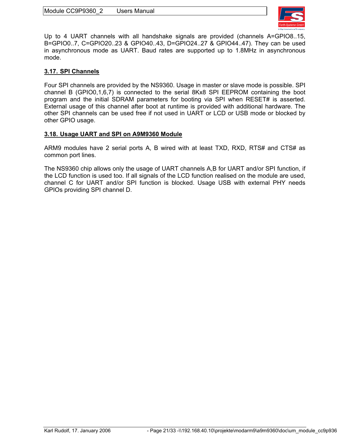

Up to 4 UART channels with all handshake signals are provided (channels A=GPIO8..15, B=GPIO0..7, C=GPIO20..23 & GPIO40..43, D=GPIO24..27 & GPIO44..47). They can be used in asynchronous mode as UART. Baud rates are supported up to 1.8MHz in asynchronous mode.

#### **3.17. SPI Channels**

Four SPI channels are provided by the NS9360. Usage in master or slave mode is possible. SPI channel B (GPIO0,1,6,7) is connected to the serial 8Kx8 SPI EEPROM containing the boot program and the initial SDRAM parameters for booting via SPI when RESET# is asserted. External usage of this channel after boot at runtime is provided with additional hardware. The other SPI channels can be used free if not used in UART or LCD or USB mode or blocked by other GPIO usage.

#### **3.18. Usage UART and SPI on A9M9360 Module**

ARM9 modules have 2 serial ports A, B wired with at least TXD, RXD, RTS# and CTS# as common port lines.

The NS9360 chip allows only the usage of UART channels A,B for UART and/or SPI function, if the LCD function is used too. If all signals of the LCD function realised on the module are used, channel C for UART and/or SPI function is blocked. Usage USB with external PHY needs GPIOs providing SPI channel D.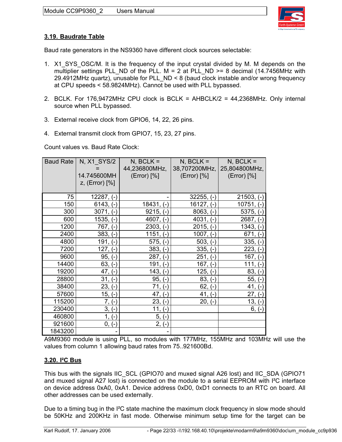

# **3.19. Baudrate Table**

Baud rate generators in the NS9360 have different clock sources selectable:

- 1. X1\_SYS\_OSC/M. It is the frequency of the input crystal divided by M. M depends on the multiplier settings PLL\_ND of the PLL. M = 2 at PLL\_ND >= 8 decimal (14.7456MHz with 29.4912MHz quartz), unusable for PLL\_ND < 8 (baud clock instable and/or wrong frequency at CPU speeds < 58.9824MHz). Cannot be used with PLL bypassed.
- 2. BCLK. For 176,9472MHz CPU clock is BCLK = AHBCLK/2 = 44,2368MHz. Only internal source when PLL bypassed.
- 3. External receive clock from GPIO6, 14, 22, 26 pins.
- 4. External transmit clock from GPIO7, 15, 23, 27 pins.

Count values vs. Baud Rate Clock:

| <b>Baud Rate</b> | N, X1 SYS/2               | $N$ , BCLK =             | $N$ , BCLK =             | $N$ , BCLK =  |
|------------------|---------------------------|--------------------------|--------------------------|---------------|
|                  |                           | 44,236800MHz,            | 38,707200MHz,            | 25,804800MHz, |
|                  | 14.745600MH               | (Error) [%]              | (Error) [%]              | (Error) [%]   |
|                  | z, (Error) [%]            |                          |                          |               |
|                  |                           |                          |                          |               |
| 75               | $12287, (-)$              |                          | $32255, (-)$             | $21503, (-)$  |
| 150              | $6143, (-)$               | $18431, (-)$             | $16127, (-)$             | $10751, (-)$  |
| 300              | 3071,<br>$(-)$            | $9215, (-)$              | $8063, (-)$              | $5375, (-)$   |
| 600              | $1535, (-)$               | $4607, (-)$              | $4031, (-)$              | $2687, (-)$   |
| 1200             | $767, (-)$                | $2303, (-)$              | $2015, (-)$              | $1343, (-)$   |
| 2400             | $383, (-)$                | $1151, (-)$              | $1007, (-)$              | $671, (-)$    |
| 4800             | $191, (-)$                | $575, (-)$               | $503, (-)$               | $335, (-)$    |
| 7200             | $127, (-)$                | $383, (-)$               | $335, (-)$               | $223, (-)$    |
| 9600             | $95, (-)$                 | $287, (-)$               | 251,<br>$(-)$            | $167, (-)$    |
| 14400            | 63, (<br>(-)              | 191,<br>$\overline{a}$   | $167, (-)$               | 111, (-)      |
| 19200            | $47, (-)$                 | 143,<br>H                | 125,<br>$-1$             | $83, (-)$     |
| 28800            | 31,1<br>$\left( -\right)$ | $95, (-)$                | $83, (-)$                | $55, (-)$     |
| 38400            | 23,<br>$\overline{a}$     | 71,<br>$\left( -\right)$ | 62,<br>$\left( -\right)$ | 41,<br>$(-)$  |
| 57600            | $15, (-)$                 | $47, (-)$                | $41, (-)$                | $27, (-)$     |
| 115200           | 7, (-)                    | $23, (-)$                | $20, (-)$                | 13,           |
| 230400           | $3, (-)$                  | $11, (-)$                |                          | $6, (-)$      |
| 460800           | 1,<br>$\left( -\right)$   | $5, (-)$                 |                          |               |
| 921600           | 0, 0<br>(-)               | 2,<br>$\left( -\right)$  |                          |               |
| 1843200          |                           |                          |                          |               |

A9M9360 module is using PLL, so modules with 177MHz, 155MHz and 103MHz will use the values from column 1 allowing baud rates from 75..921600Bd.

# **3.20. I²C Bus**

This bus with the signals IIC\_SCL (GPIO70 and muxed signal A26 lost) and IIC\_SDA (GPIO71 and muxed signal A27 lost) is connected on the module to a serial EEPROM with I²C interface on device address 0xA0, 0xA1. Device address 0xD0, 0xD1 connects to an RTC on board. All other addresses can be used externally.

Due to a timing bug in the I²C state machine the maximum clock frequency in slow mode should be 50KHz and 200KHz in fast mode. Otherwise minimum setup time for the target can be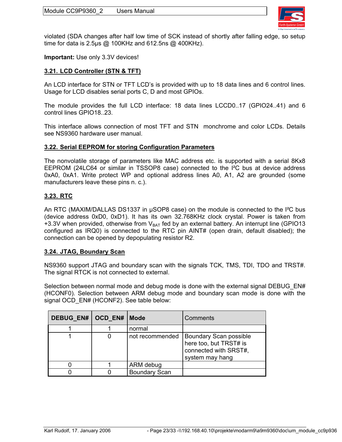

violated (SDA changes after half low time of SCK instead of shortly after falling edge, so setup time for data is 2.5µs @ 100KHz and 612.5ns @ 400KHz).

**Important:** Use only 3.3V devices!

#### **3.21. LCD Controller (STN & TFT)**

An LCD interface for STN or TFT LCD's is provided with up to 18 data lines and 6 control lines. Usage for LCD disables serial ports C, D and most GPIOs.

The module provides the full LCD interface: 18 data lines LCCD0..17 (GPIO24..41) and 6 control lines GPIO18..23.

This interface allows connection of most TFT and STN monchrome and color LCDs. Details see NS9360 hardware user manual.

#### **3.22. Serial EEPROM for storing Configuration Parameters**

The nonvolatile storage of parameters like MAC address etc. is supported with a serial 8Kx8 EEPROM (24LC64 or similar in TSSOP8 case) connected to the I²C bus at device address 0xA0, 0xA1. Write protect WP and optional address lines A0, A1, A2 are grounded (some manufacturers leave these pins n. c.).

#### **3.23. RTC**

An RTC (MAXIM/DALLAS DS1337 in µSOP8 case) on the module is connected to the I<sup>2</sup>C bus (device address 0xD0, 0xD1). It has its own 32.768KHz clock crystal. Power is taken from +3.3V when provided, otherwise from  $V_{BAT}$  fed by an external battery. An interrupt line (GPIO13 configured as IRQ0) is connected to the RTC pin AINT# (open drain, default disabled); the connection can be opened by depopulating resistor R2.

#### **3.24. JTAG, Boundary Scan**

NS9360 support JTAG and boundary scan with the signals TCK, TMS, TDI, TDO and TRST#. The signal RTCK is not connected to external.

Selection between normal mode and debug mode is done with the external signal DEBUG EN# (HCONF0). Selection between ARM debug mode and boundary scan mode is done with the signal OCD EN# (HCONF2). See table below:

| DEBUG_EN#   OCD_EN#   Mode |                      | Comments                                                                                     |
|----------------------------|----------------------|----------------------------------------------------------------------------------------------|
|                            | normal               |                                                                                              |
|                            | not recommended      | Boundary Scan possible<br>here too, but TRST# is<br>connected with SRST#,<br>system may hang |
|                            | ARM debug            |                                                                                              |
|                            | <b>Boundary Scan</b> |                                                                                              |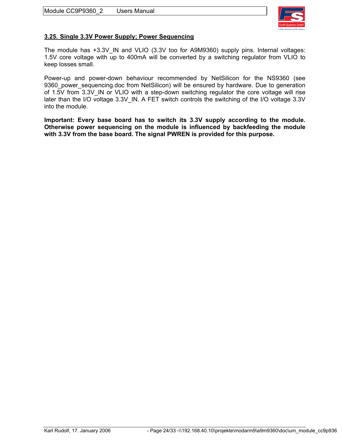

#### **3.25. Single 3.3V Power Supply; Power Sequencing**

The module has +3.3V\_IN and VLIO (3.3V too for A9M9360) supply pins. Internal voltages: 1.5V core voltage with up to 400mA will be converted by a switching regulator from VLIO to keep losses small.

Power-up and power-down behaviour recommended by NetSilicon for the NS9360 (see 9360 power sequencing.doc from NetSilicon) will be ensured by hardware. Due to generation of 1.5V from 3.3V IN or VLIO with a step-down switching regulator the core voltage will rise later than the I/O voltage 3.3V IN. A FET switch controls the switching of the I/O voltage 3.3V into the module.

**Important: Every base board has to switch its 3.3V supply according to the module. Otherwise power sequencing on the module is influenced by backfeeding the module with 3.3V from the base board. The signal PWREN is provided for this purpose.**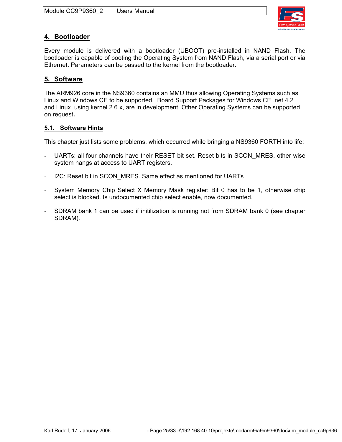

# **4. Bootloader**

Every module is delivered with a bootloader (UBOOT) pre-installed in NAND Flash. The bootloader is capable of booting the Operating System from NAND Flash, via a serial port or via Ethernet. Parameters can be passed to the kernel from the bootloader.

#### **5. Software**

The ARM926 core in the NS9360 contains an MMU thus allowing Operating Systems such as Linux and Windows CE to be supported. Board Support Packages for Windows CE .net 4.2 and Linux, using kernel 2.6.x, are in development. Other Operating Systems can be supported on request**.**

#### **5.1. Software Hints**

This chapter just lists some problems, which occurred while bringing a NS9360 FORTH into life:

- UARTs: all four channels have their RESET bit set. Reset bits in SCON\_MRES, other wise system hangs at access to UART registers.
- I2C: Reset bit in SCON\_MRES. Same effect as mentioned for UARTs
- System Memory Chip Select X Memory Mask register: Bit 0 has to be 1, otherwise chip select is blocked. Is undocumented chip select enable, now documented.
- SDRAM bank 1 can be used if initilization is running not from SDRAM bank 0 (see chapter SDRAM).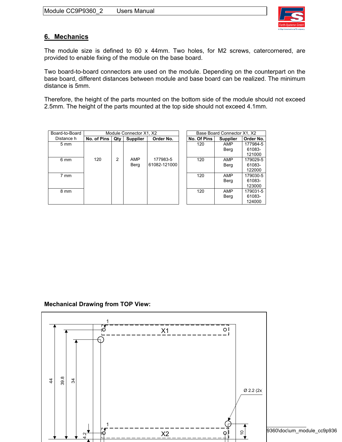

# **6. Mechanics**

The module size is defined to 60 x 44mm. Two holes, for M2 screws, catercornered, are provided to enable fixing of the module on the base board.

Two board-to-board connectors are used on the module. Depending on the counterpart on the base board, different distances between module and base board can be realized. The minimum distance is 5mm.

Therefore, the height of the parts mounted on the bottom side of the module should not exceed 2.5mm. The height of the parts mounted at the top side should not exceed 4.1mm.

| Board-to-Board | Module Connector X1, X2 |                |                 |              |             | Base Board Connector X1, X2 |           |
|----------------|-------------------------|----------------|-----------------|--------------|-------------|-----------------------------|-----------|
| Distance h     | No. of Pins             | Qty            | <b>Supplier</b> | Order No.    | No. Of Pins | <b>Supplier</b>             | Order No. |
| $5 \text{ mm}$ |                         |                |                 |              | 120         | AMP                         | 177984-5  |
|                |                         |                |                 |              |             | Berg                        | 61083-    |
|                |                         |                |                 |              |             |                             | 121000    |
| 6 mm           | 120                     | $\overline{2}$ | AMP             | 177983-5     | 120         | AMP                         | 179029-5  |
|                |                         |                | Berg            | 61082-121000 |             | Berg                        | 61083-    |
|                |                         |                |                 |              |             |                             | 122000    |
| $7 \text{ mm}$ |                         |                |                 |              | 120         | AMP                         | 179030-5  |
|                |                         |                |                 |              |             | Berg                        | 61083-    |
|                |                         |                |                 |              |             |                             | 123000    |
| 8 mm           |                         |                |                 |              | 120         | AMP                         | 179031-5  |
|                |                         |                |                 |              |             | Berg                        | 61083-    |
|                |                         |                |                 |              |             |                             | 124000    |

#### **Mechanical Drawing from TOP View:**

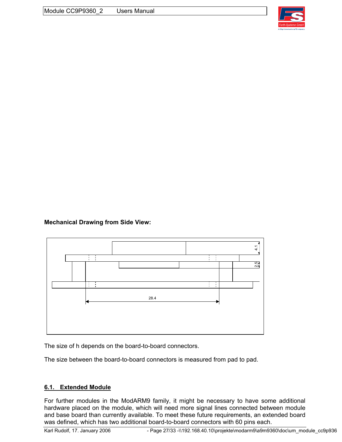

**Mechanical Drawing from Side View:**



The size of h depends on the board-to-board connectors.

The size between the board-to-board connectors is measured from pad to pad.

# **6.1. Extended Module**

For further modules in the ModARM9 family, it might be necessary to have some additional hardware placed on the module, which will need more signal lines connected between module and base board than currently available. To meet these future requirements, an extended board was defined, which has two additional board-to-board connectors with 60 pins each.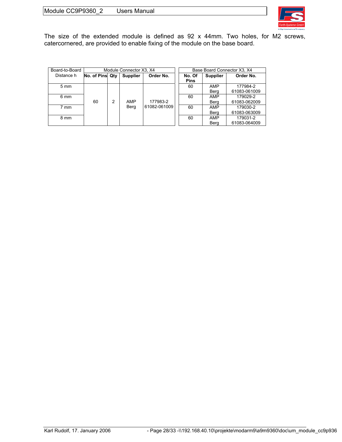

The size of the extended module is defined as 92 x 44mm. Two holes, for M2 screws, catercornered, are provided to enable fixing of the module on the base board.

| Board-to-Board | Module Connector X3, X4 |   |                 |              |  | Base Board Connector X3, X4 |                 |              |  |
|----------------|-------------------------|---|-----------------|--------------|--|-----------------------------|-----------------|--------------|--|
| Distance h     | No. of Pins Qty         |   | <b>Supplier</b> | Order No.    |  | No. Of                      | <b>Supplier</b> | Order No.    |  |
|                |                         |   |                 |              |  | <b>Pins</b>                 |                 |              |  |
| $5 \text{ mm}$ |                         |   |                 |              |  | 60                          | AMP             | 177984-2     |  |
|                |                         |   |                 |              |  |                             | Berg            | 61083-061009 |  |
| 6 mm           |                         |   |                 |              |  | 60                          | AMP             | 179029-2     |  |
|                | 60                      | 2 | AMP             | 177983-2     |  |                             | Berg            | 61083-062009 |  |
| 7 mm           |                         |   | Berg            | 61082-061009 |  | 60                          | AMP             | 179030-2     |  |
|                |                         |   |                 |              |  |                             | Berg            | 61083-063009 |  |
| 8 mm           |                         |   |                 |              |  | 60                          | AMP             | 179031-2     |  |
|                |                         |   |                 |              |  |                             | Berg            | 61083-064009 |  |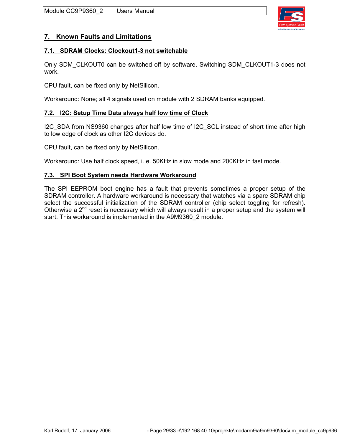

# **7. Known Faults and Limitations**

#### **7.1. SDRAM Clocks: Clockout1-3 not switchable**

Only SDM\_CLKOUT0 can be switched off by software. Switching SDM\_CLKOUT1-3 does not work.

CPU fault, can be fixed only by NetSilicon.

Workaround: None; all 4 signals used on module with 2 SDRAM banks equipped.

#### **7.2. I2C: Setup Time Data always half low time of Clock**

I2C\_SDA from NS9360 changes after half low time of I2C\_SCL instead of short time after high to low edge of clock as other I2C devices do.

CPU fault, can be fixed only by NetSilicon.

Workaround: Use half clock speed, i. e. 50KHz in slow mode and 200KHz in fast mode.

#### **7.3. SPI Boot System needs Hardware Workaround**

The SPI EEPROM boot engine has a fault that prevents sometimes a proper setup of the SDRAM controller. A hardware workaround is necessary that watches via a spare SDRAM chip select the successful initialization of the SDRAM controller (chip select toggling for refresh). Otherwise a 2<sup>nd</sup> reset is necessary which will always result in a proper setup and the system will start. This workaround is implemented in the A9M9360\_2 module.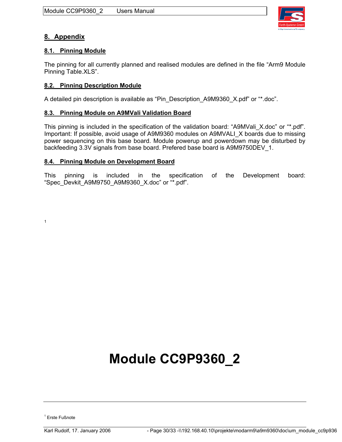

# **8. Appendix**

#### **8.1. Pinning Module**

The pinning for all currently planned and realised modules are defined in the file "Arm9 Module Pinning Table.XLS".

#### **8.2. Pinning Description Module**

A detailed pin description is available as "Pin\_Description\_A9M9360\_X.pdf" or "\*.doc".

#### **8.3. Pinning Module on A9MVali Validation Board**

This pinning is included in the specification of the validation board: "A9MVali\_X.doc" or "\*.pdf". Important: If possible, avoid usage of A9M9360 modules on A9MVALI\_X boards due to missing power sequencing on this base board. Module powerup and powerdown may be disturbed by backfeeding 3.3V signals from base board. Prefered base board is A9M9750DEV\_1.

#### **8.4. Pinning Module on Development Board**

This pinning is included in the specification of the Development board: "Spec\_Devkit\_A9M9750\_A9M9360\_X.doc" or "\*.pdf".

# **Module CC9P9360\_2**

1

<sup>&</sup>lt;sup>1</sup> Erste Fußnote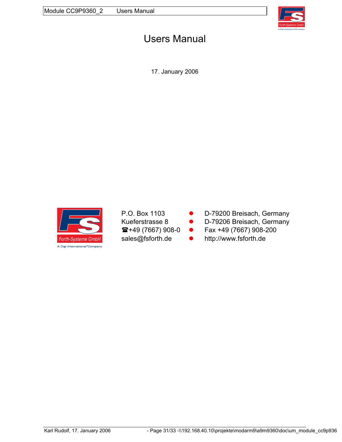

# Users Manual

17. January 2006



- P.O. Box 1103 **· D-79200 Breisach, Germany**
- Kueferstrasse 8 **· D-79206 Breisach, Germany**
- $\hat{\mathbf{z}}$ +49 (7667) 908-0  $\bullet$  Fax +49 (7667) 908-200
- sales@fsforth.de http://www.fsforth.de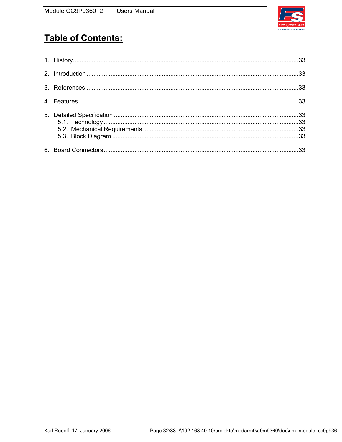

# **Table of Contents:**